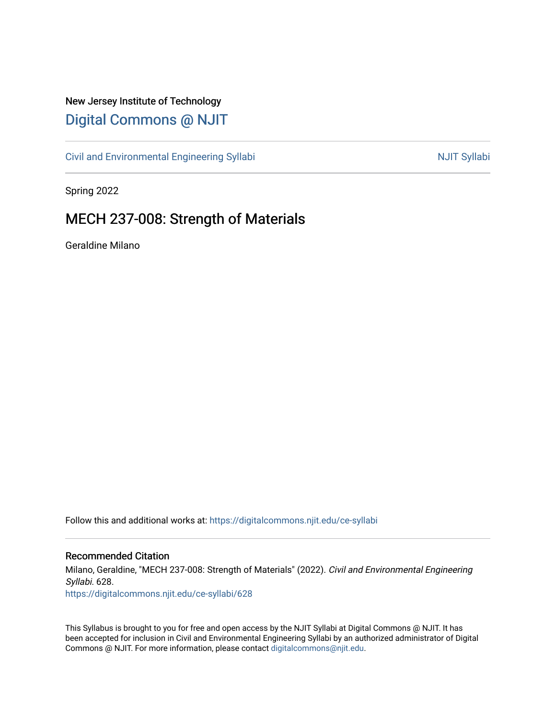# New Jersey Institute of Technology [Digital Commons @ NJIT](https://digitalcommons.njit.edu/)

[Civil and Environmental Engineering Syllabi](https://digitalcommons.njit.edu/ce-syllabi) Nulle and Syllabi NJIT Syllabi

Spring 2022

# MECH 237-008: Strength of Materials

Geraldine Milano

Follow this and additional works at: [https://digitalcommons.njit.edu/ce-syllabi](https://digitalcommons.njit.edu/ce-syllabi?utm_source=digitalcommons.njit.edu%2Fce-syllabi%2F628&utm_medium=PDF&utm_campaign=PDFCoverPages)

### Recommended Citation

Milano, Geraldine, "MECH 237-008: Strength of Materials" (2022). Civil and Environmental Engineering Syllabi. 628.

[https://digitalcommons.njit.edu/ce-syllabi/628](https://digitalcommons.njit.edu/ce-syllabi/628?utm_source=digitalcommons.njit.edu%2Fce-syllabi%2F628&utm_medium=PDF&utm_campaign=PDFCoverPages)

This Syllabus is brought to you for free and open access by the NJIT Syllabi at Digital Commons @ NJIT. It has been accepted for inclusion in Civil and Environmental Engineering Syllabi by an authorized administrator of Digital Commons @ NJIT. For more information, please contact [digitalcommons@njit.edu.](mailto:digitalcommons@njit.edu)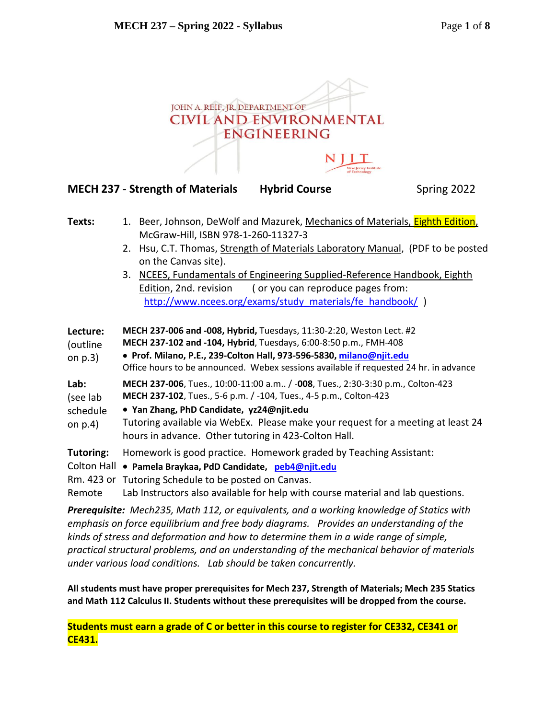

| Texts: |                                                                           | 1. Beer, Johnson, DeWolf and Mazurek, Mechanics of Materials, Eighth Edition,   |
|--------|---------------------------------------------------------------------------|---------------------------------------------------------------------------------|
|        |                                                                           | McGraw-Hill, ISBN 978-1-260-11327-3                                             |
|        |                                                                           | 2. Hsu, C.T. Thomas, Strength of Materials Laboratory Manual, (PDF to be posted |
|        |                                                                           | on the Canvas site).                                                            |
|        | 3. NCEES, Fundamentals of Engineering Supplied-Reference Handbook, Eighth |                                                                                 |
|        |                                                                           | (or you can reproduce pages from:<br>Edition, 2nd. revision                     |

http://www.ncees.org/exams/study materials/fe\_handbook/ ) **Lecture:** (outline on p.3) **MECH 237-006 and -008, Hybrid,** Tuesdays, 11:30-2:20, Weston Lect. #2 **MECH 237-102 and -104, Hybrid**, Tuesdays, 6:00-8:50 p.m., FMH-408  **Prof. Milano, P.E., 239-Colton Hall, 973-596-5830[, milano@njit.edu](mailto:milano@njit.edu)** Office hours to be announced. Webex sessions available if requested 24 hr. in advance **Lab:** (see lab schedule on p.4) **MECH 237-006**, Tues., 10:00-11:00 a.m.. / -**008**, Tues., 2:30-3:30 p.m., Colton-423 **MECH 237-102**, Tues., 5-6 p.m. / -104, Tues., 4-5 p.m., Colton-423  **Yan Zhang, PhD Candidate, yz24@njit.edu** Tutoring available via WebEx. Please make your request for a meeting at least 24 hours in advance. Other tutoring in 423-Colton Hall. **Tutoring:** Colton Hall  **Pamela Braykaa, PdD Candidate, [peb4@njit.edu](mailto:peb4@njit.edu)**  Rm. 423 or Tutoring Schedule to be posted on Canvas. Homework is good practice. Homework graded by Teaching Assistant:

Remote Lab Instructors also available for help with course material and lab questions.

*Prerequisite: Mech235, Math 112, or equivalents, and a working knowledge of Statics with emphasis on force equilibrium and free body diagrams. Provides an understanding of the kinds of stress and deformation and how to determine them in a wide range of simple, practical structural problems, and an understanding of the mechanical behavior of materials under various load conditions. Lab should be taken concurrently.*

**All students must have proper prerequisites for Mech 237, Strength of Materials; Mech 235 Statics and Math 112 Calculus II. Students without these prerequisites will be dropped from the course.** 

**Students must earn a grade of C or better in this course to register for CE332, CE341 or CE431.**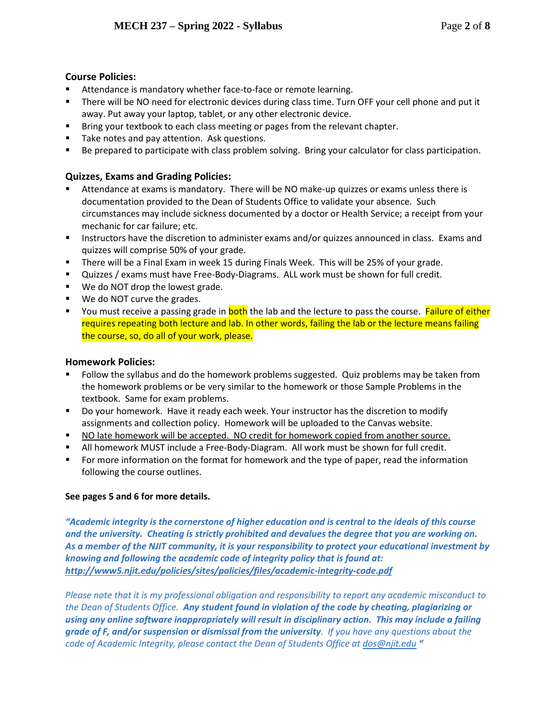# **Course Policies:**

- Attendance is mandatory whether face-to-face or remote learning.
- " There will be NO need for electronic devices during class time. Turn OFF your cell phone and put it away. Put away your laptop, tablet, or any other electronic device.
- **Bring your textbook to each class meeting or pages from the relevant chapter.**
- Take notes and pay attention. Ask questions.
- Be prepared to participate with class problem solving. Bring your calculator for class participation.

## **Quizzes, Exams and Grading Policies:**

- Attendance at exams is mandatory. There will be NO make-up quizzes or exams unless there is documentation provided to the Dean of Students Office to validate your absence. Such circumstances may include sickness documented by a doctor or Health Service; a receipt from your mechanic for car failure; etc.
- **Instructors have the discretion to administer exams and/or quizzes announced in class. Exams and** quizzes will comprise 50% of your grade.
- There will be a Final Exam in week 15 during Finals Week. This will be 25% of your grade.
- Quizzes / exams must have Free-Body-Diagrams. ALL work must be shown for full credit.
- We do NOT drop the lowest grade.
- We do NOT curve the grades.
- **The Step is absolute a step is a passing grade in both the lab and the lecture to pass the course. Failure of either** requires repeating both lecture and lab. In other words, failing the lab or the lecture means failing the course, so, do all of your work, please.

### **Homework Policies:**

- Follow the syllabus and do the homework problems suggested. Quiz problems may be taken from the homework problems or be very similar to the homework or those Sample Problems in the textbook. Same for exam problems.
- Do your homework. Have it ready each week. Your instructor has the discretion to modify assignments and collection policy. Homework will be uploaded to the Canvas website.
- NO late homework will be accepted. NO credit for homework copied from another source.
- All homework MUST include a Free-Body-Diagram. All work must be shown for full credit.
- For more information on the format for homework and the type of paper, read the information following the course outlines.

### **See pages 5 and 6 for more details.**

*"Academic integrity is the cornerstone of higher education and is central to the ideals of this course and the university. Cheating is strictly prohibited and devalues the degree that you are working on. As a member of the NJIT community, it is your responsibility to protect your educational investment by knowing and following the academic code of integrity policy that is found at: <http://www5.njit.edu/policies/sites/policies/files/academic-integrity-code.pdf>*

*Please note that it is my professional obligation and responsibility to report any academic misconduct to the Dean of Students Office. Any student found in violation of the code by cheating, plagiarizing or using any online software inappropriately will result in disciplinary action. This may include a failing grade of F, and/or suspension or dismissal from the university. If you have any questions about the code of Academic Integrity, please contact the Dean of Students Office a[t dos@njit.edu](mailto:dos@njit.edu) "*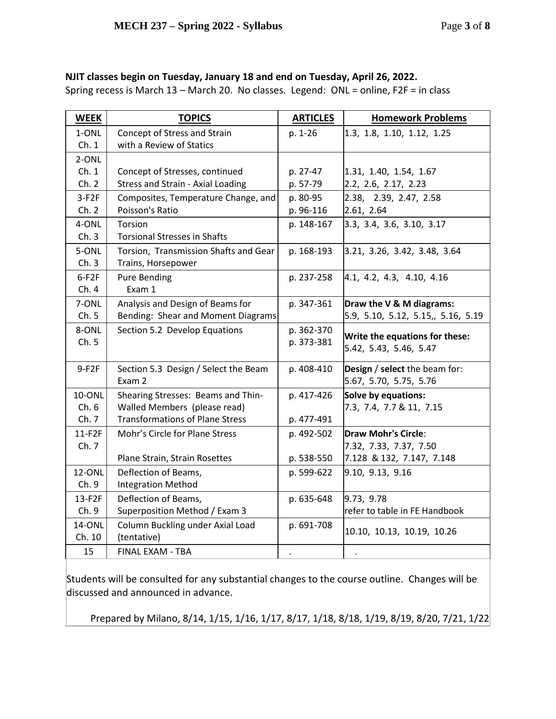# **NJIT classes begin on Tuesday, January 18 and end on Tuesday, April 26, 2022.**

Spring recess is March 13 – March 20. No classes. Legend: ONL = online, F2F = in class

| <b>WEEK</b> | <b>TOPICS</b>                            | <b>ARTICLES</b> | <b>Homework Problems</b>           |
|-------------|------------------------------------------|-----------------|------------------------------------|
| 1-ONL       | Concept of Stress and Strain             | p. 1-26         | 1.3, 1.8, 1.10, 1.12, 1.25         |
| Ch.1        | with a Review of Statics                 |                 |                                    |
| 2-ONL       |                                          |                 |                                    |
| Ch.1        | Concept of Stresses, continued           | p. 27-47        | 1.31, 1.40, 1.54, 1.67             |
| Ch. 2       | <b>Stress and Strain - Axial Loading</b> | p. 57-79        | 2.2, 2.6, 2.17, 2.23               |
| $3-F2F$     | Composites, Temperature Change, and      | p. 80-95        | 2.38, 2.39, 2.47, 2.58             |
| Ch. 2       | Poisson's Ratio                          | p. 96-116       | 2.61, 2.64                         |
| 4-ONL       | Torsion                                  | p. 148-167      | 3.3, 3.4, 3.6, 3.10, 3.17          |
| Ch.3        | <b>Torsional Stresses in Shafts</b>      |                 |                                    |
| 5-ONL       | Torsion, Transmission Shafts and Gear    | p. 168-193      | 3.21, 3.26, 3.42, 3.48, 3.64       |
| Ch.3        | Trains, Horsepower                       |                 |                                    |
| $6-F2F$     | Pure Bending                             | p. 237-258      | 4.1, 4.2, 4.3, 4.10, 4.16          |
| Ch.4        | Exam 1                                   |                 |                                    |
| 7-ONL       | Analysis and Design of Beams for         | p. 347-361      | Draw the V & M diagrams:           |
| Ch.5        | Bending: Shear and Moment Diagrams       |                 | 5.9, 5.10, 5.12, 5.15,, 5.16, 5.19 |
| 8-ONL       | Section 5.2 Develop Equations            | p. 362-370      | Write the equations for these:     |
| Ch.5        |                                          | p. 373-381      | 5.42, 5.43, 5.46, 5.47             |
|             |                                          |                 |                                    |
| $9-F2F$     | Section 5.3 Design / Select the Beam     | p. 408-410      | Design / select the beam for:      |
|             | Exam 2                                   |                 | 5.67, 5.70, 5.75, 5.76             |
| 10-ONL      | Shearing Stresses: Beams and Thin-       | p. 417-426      | Solve by equations:                |
| Ch.6        | Walled Members (please read)             |                 | 7.3, 7.4, 7.7 & 11, 7.15           |
| Ch.7        | <b>Transformations of Plane Stress</b>   | p. 477-491      |                                    |
| 11-F2F      | Mohr's Circle for Plane Stress           | p. 492-502      | Draw Mohr's Circle:                |
| Ch. 7       |                                          |                 | 7.32, 7.33, 7.37, 7.50             |
|             | Plane Strain, Strain Rosettes            | p. 538-550      | 7.128 & 132, 7.147, 7.148          |
| 12-ONL      | Deflection of Beams,                     | p. 599-622      | 9.10, 9.13, 9.16                   |
| Ch.9        | <b>Integration Method</b>                |                 |                                    |
| 13-F2F      | Deflection of Beams,                     | p. 635-648      | 9.73, 9.78                         |
| Ch.9        | Superposition Method / Exam 3            |                 | refer to table in FE Handbook      |
| 14-ONL      | Column Buckling under Axial Load         | p. 691-708      | 10.10, 10.13, 10.19, 10.26         |
| Ch. 10      | (tentative)                              |                 |                                    |
| 15          | <b>FINAL EXAM - TBA</b>                  |                 | $\bullet$                          |

Students will be consulted for any substantial changes to the course outline. Changes will be discussed and announced in advance.

Prepared by Milano, 8/14, 1/15, 1/16, 1/17, 8/17, 1/18, 8/18, 1/19, 8/19, 8/20, 7/21, 1/22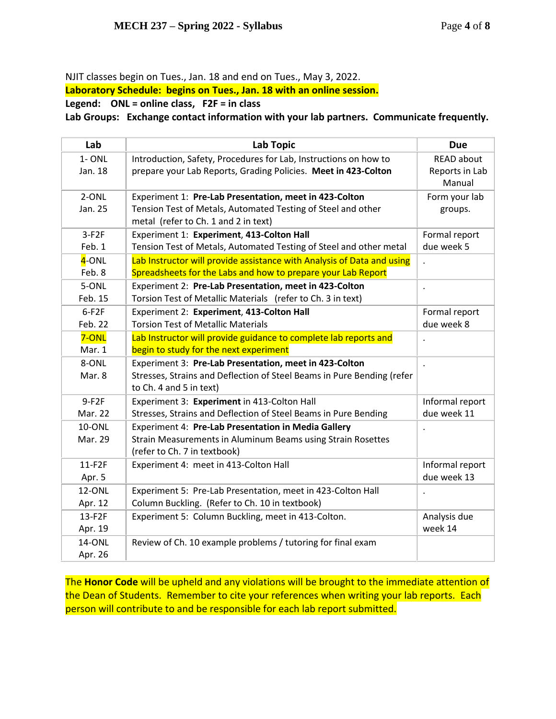NJIT classes begin on Tues., Jan. 18 and end on Tues., May 3, 2022.

**Laboratory Schedule: begins on Tues., Jan. 18 with an online session.**

**Legend: ONL = online class, F2F = in class**

**Lab Groups: Exchange contact information with your lab partners. Communicate frequently.**

| Lab              | <b>Lab Topic</b>                                                                                                       | <b>Due</b>               |
|------------------|------------------------------------------------------------------------------------------------------------------------|--------------------------|
| $1 - ONL$        | Introduction, Safety, Procedures for Lab, Instructions on how to                                                       | <b>READ about</b>        |
| Jan. 18          | prepare your Lab Reports, Grading Policies. Meet in 423-Colton                                                         | Reports in Lab<br>Manual |
| 2-ONL<br>Jan. 25 | Experiment 1: Pre-Lab Presentation, meet in 423-Colton<br>Tension Test of Metals, Automated Testing of Steel and other | Form your lab<br>groups. |
|                  | metal (refer to Ch. 1 and 2 in text)                                                                                   |                          |
| $3-F2F$          | Experiment 1: Experiment, 413-Colton Hall                                                                              | Formal report            |
| Feb. 1           | Tension Test of Metals, Automated Testing of Steel and other metal                                                     | due week 5               |
| 4-ONL            | Lab Instructor will provide assistance with Analysis of Data and using                                                 | $\ddot{\phantom{a}}$     |
| Feb. 8           | Spreadsheets for the Labs and how to prepare your Lab Report                                                           |                          |
| 5-ONL            | Experiment 2: Pre-Lab Presentation, meet in 423-Colton                                                                 |                          |
| Feb. 15          | Torsion Test of Metallic Materials (refer to Ch. 3 in text)                                                            |                          |
| $6-F2F$          | Experiment 2: Experiment, 413-Colton Hall                                                                              | Formal report            |
| Feb. 22          | <b>Torsion Test of Metallic Materials</b>                                                                              | due week 8               |
| 7-ONL            | Lab Instructor will provide guidance to complete lab reports and                                                       |                          |
| Mar. 1           | begin to study for the next experiment                                                                                 |                          |
| 8-ONL            | Experiment 3: Pre-Lab Presentation, meet in 423-Colton                                                                 | $\overline{a}$           |
| Mar. 8           | Stresses, Strains and Deflection of Steel Beams in Pure Bending (refer                                                 |                          |
|                  | to Ch. 4 and 5 in text)                                                                                                |                          |
| $9-F2F$          | Experiment 3: Experiment in 413-Colton Hall                                                                            | Informal report          |
| Mar. 22          | Stresses, Strains and Deflection of Steel Beams in Pure Bending                                                        | due week 11              |
| 10-ONL           | <b>Experiment 4: Pre-Lab Presentation in Media Gallery</b>                                                             |                          |
| Mar. 29          | Strain Measurements in Aluminum Beams using Strain Rosettes                                                            |                          |
|                  | (refer to Ch. 7 in textbook)                                                                                           |                          |
| 11-F2F           | Experiment 4: meet in 413-Colton Hall                                                                                  | Informal report          |
| Apr. 5           |                                                                                                                        | due week 13              |
| 12-ONL           | Experiment 5: Pre-Lab Presentation, meet in 423-Colton Hall                                                            |                          |
| Apr. 12          | Column Buckling. (Refer to Ch. 10 in textbook)                                                                         |                          |
| 13-F2F           | Experiment 5: Column Buckling, meet in 413-Colton.                                                                     | Analysis due             |
| Apr. 19          |                                                                                                                        | week 14                  |
| 14-ONL           | Review of Ch. 10 example problems / tutoring for final exam                                                            |                          |
| Apr. 26          |                                                                                                                        |                          |

The **Honor Code** will be upheld and any violations will be brought to the immediate attention of the Dean of Students. Remember to cite your references when writing your lab reports. Each person will contribute to and be responsible for each lab report submitted.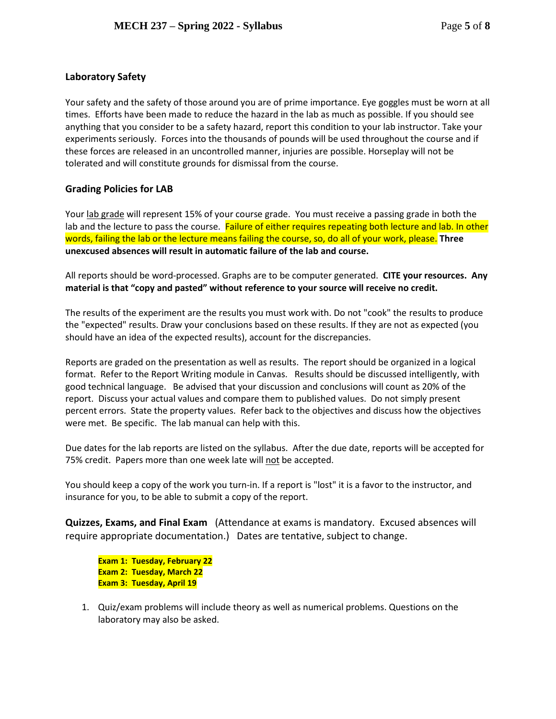## **Laboratory Safety**

Your safety and the safety of those around you are of prime importance. Eye goggles must be worn at all times. Efforts have been made to reduce the hazard in the lab as much as possible. If you should see anything that you consider to be a safety hazard, report this condition to your lab instructor. Take your experiments seriously. Forces into the thousands of pounds will be used throughout the course and if these forces are released in an uncontrolled manner, injuries are possible. Horseplay will not be tolerated and will constitute grounds for dismissal from the course.

### **Grading Policies for LAB**

Your lab grade will represent 15% of your course grade. You must receive a passing grade in both the lab and the lecture to pass the course. Failure of either requires repeating both lecture and lab. In other words, failing the lab or the lecture means failing the course, so, do all of your work, please. **Three unexcused absences will result in automatic failure of the lab and course.**

All reports should be word-processed. Graphs are to be computer generated. **CITE your resources. Any material is that "copy and pasted" without reference to your source will receive no credit.**

The results of the experiment are the results you must work with. Do not "cook" the results to produce the "expected" results. Draw your conclusions based on these results. If they are not as expected (you should have an idea of the expected results), account for the discrepancies.

Reports are graded on the presentation as well as results. The report should be organized in a logical format. Refer to the Report Writing module in Canvas. Results should be discussed intelligently, with good technical language. Be advised that your discussion and conclusions will count as 20% of the report. Discuss your actual values and compare them to published values. Do not simply present percent errors. State the property values. Refer back to the objectives and discuss how the objectives were met. Be specific. The lab manual can help with this.

Due dates for the lab reports are listed on the syllabus. After the due date, reports will be accepted for 75% credit. Papers more than one week late will not be accepted.

You should keep a copy of the work you turn-in. If a report is "lost" it is a favor to the instructor, and insurance for you, to be able to submit a copy of the report.

**Quizzes, Exams, and Final Exam** (Attendance at exams is mandatory. Excused absences will require appropriate documentation.) Dates are tentative, subject to change.

**Exam 1: Tuesday, February 22 Exam 2: Tuesday, March 22 Exam 3: Tuesday, April 19**

1. Quiz/exam problems will include theory as well as numerical problems. Questions on the laboratory may also be asked.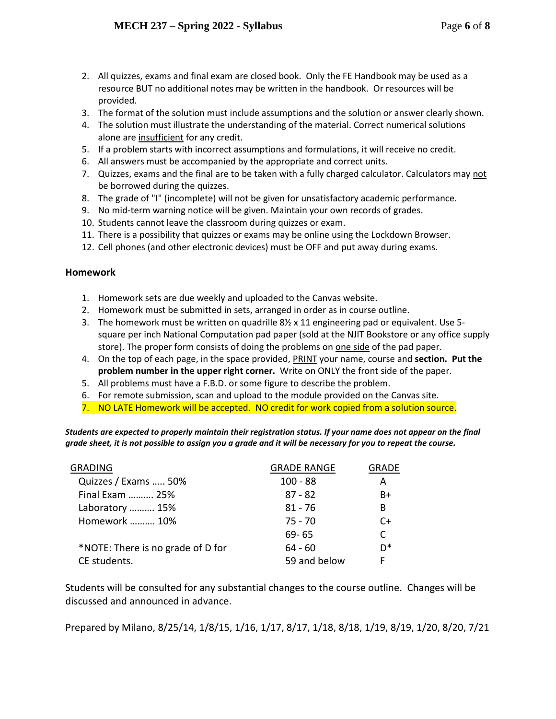- 2. All quizzes, exams and final exam are closed book. Only the FE Handbook may be used as a resource BUT no additional notes may be written in the handbook. Or resources will be provided.
- 3. The format of the solution must include assumptions and the solution or answer clearly shown.
- 4. The solution must illustrate the understanding of the material. Correct numerical solutions alone are insufficient for any credit.
- 5. If a problem starts with incorrect assumptions and formulations, it will receive no credit.
- 6. All answers must be accompanied by the appropriate and correct units.
- 7. Quizzes, exams and the final are to be taken with a fully charged calculator. Calculators may not be borrowed during the quizzes.
- 8. The grade of "I" (incomplete) will not be given for unsatisfactory academic performance.
- 9. No mid-term warning notice will be given. Maintain your own records of grades.
- 10. Students cannot leave the classroom during quizzes or exam.
- 11. There is a possibility that quizzes or exams may be online using the Lockdown Browser.
- 12. Cell phones (and other electronic devices) must be OFF and put away during exams.

### **Homework**

- 1. Homework sets are due weekly and uploaded to the Canvas website.
- 2. Homework must be submitted in sets, arranged in order as in course outline.
- 3. The homework must be written on quadrille  $8\frac{1}{2}$  x 11 engineering pad or equivalent. Use 5square per inch National Computation pad paper (sold at the NJIT Bookstore or any office supply store). The proper form consists of doing the problems on one side of the pad paper.
- 4. On the top of each page, in the space provided, PRINT your name, course and **section. Put the problem number in the upper right corner.** Write on ONLY the front side of the paper.
- 5. All problems must have a F.B.D. or some figure to describe the problem.
- 6. For remote submission, scan and upload to the module provided on the Canvas site.
- 7. NO LATE Homework will be accepted. NO credit for work copied from a solution source.

*Students are expected to properly maintain their registration status. If your name does not appear on the final grade sheet, it is not possible to assign you a grade and it will be necessary for you to repeat the course.*

| <b>GRADING</b>                    | <b>GRADE RANGE</b> | GRADE |
|-----------------------------------|--------------------|-------|
| Quizzes / Exams  50%              | $100 - 88$         | A     |
| Final Exam  25%                   | $87 - 82$          | $B+$  |
| Laboratory  15%                   | $81 - 76$          | B     |
| Homework  10%                     | $75 - 70$          | C+    |
|                                   | $69 - 65$          | C.    |
| *NOTE: There is no grade of D for | $64 - 60$          | n*    |
| CE students.                      | 59 and below       |       |

Students will be consulted for any substantial changes to the course outline. Changes will be discussed and announced in advance.

Prepared by Milano, 8/25/14, 1/8/15, 1/16, 1/17, 8/17, 1/18, 8/18, 1/19, 8/19, 1/20, 8/20, 7/21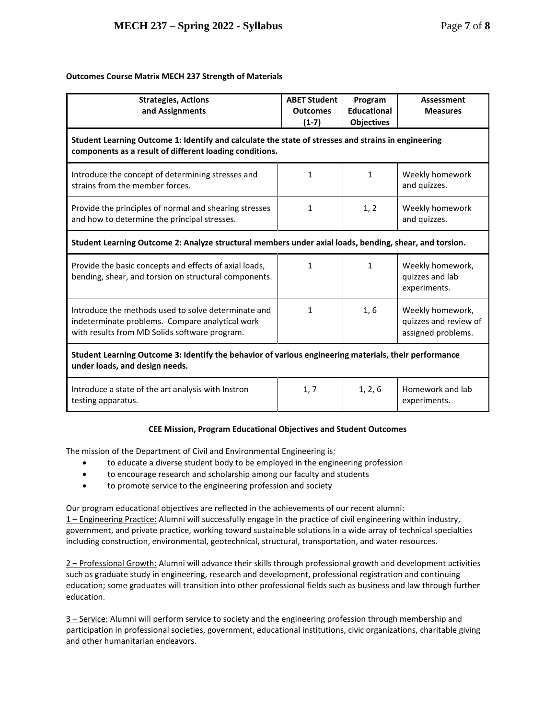### **Outcomes Course Matrix MECH 237 Strength of Materials**

| <b>Strategies, Actions</b><br>and Assignments                                                                                                                  | <b>ABET Student</b><br><b>Outcomes</b><br>$(1-7)$ | Program<br><b>Educational</b><br><b>Objectives</b> | <b>Assessment</b><br><b>Measures</b>                            |  |  |  |  |
|----------------------------------------------------------------------------------------------------------------------------------------------------------------|---------------------------------------------------|----------------------------------------------------|-----------------------------------------------------------------|--|--|--|--|
| Student Learning Outcome 1: Identify and calculate the state of stresses and strains in engineering<br>components as a result of different loading conditions. |                                                   |                                                    |                                                                 |  |  |  |  |
| Introduce the concept of determining stresses and<br>strains from the member forces.                                                                           | $\mathbf{1}$                                      | $\mathbf{1}$                                       | Weekly homework<br>and quizzes.                                 |  |  |  |  |
| Provide the principles of normal and shearing stresses<br>and how to determine the principal stresses.                                                         | 1                                                 | 1, 2                                               | Weekly homework<br>and quizzes.                                 |  |  |  |  |
| Student Learning Outcome 2: Analyze structural members under axial loads, bending, shear, and torsion.                                                         |                                                   |                                                    |                                                                 |  |  |  |  |
| Provide the basic concepts and effects of axial loads,<br>bending, shear, and torsion on structural components.                                                | 1                                                 | $\mathbf{1}$                                       | Weekly homework,<br>quizzes and lab<br>experiments.             |  |  |  |  |
| Introduce the methods used to solve determinate and<br>indeterminate problems. Compare analytical work<br>with results from MD Solids software program.        | 1                                                 | 1,6                                                | Weekly homework,<br>quizzes and review of<br>assigned problems. |  |  |  |  |
| Student Learning Outcome 3: Identify the behavior of various engineering materials, their performance<br>under loads, and design needs.                        |                                                   |                                                    |                                                                 |  |  |  |  |
| Introduce a state of the art analysis with Instron<br>testing apparatus.                                                                                       | 1, 7                                              | 1, 2, 6                                            | Homework and lab<br>experiments.                                |  |  |  |  |

#### **CEE Mission, Program Educational Objectives and Student Outcomes**

The mission of the Department of Civil and Environmental Engineering is:

- to educate a diverse student body to be employed in the engineering profession
- to encourage research and scholarship among our faculty and students
- to promote service to the engineering profession and society

Our program educational objectives are reflected in the achievements of our recent alumni:

1 – Engineering Practice: Alumni will successfully engage in the practice of civil engineering within industry, government, and private practice, working toward sustainable solutions in a wide array of technical specialties including construction, environmental, geotechnical, structural, transportation, and water resources.

2 – Professional Growth: Alumni will advance their skills through professional growth and development activities such as graduate study in engineering, research and development, professional registration and continuing education; some graduates will transition into other professional fields such as business and law through further education.

3 - Service: Alumni will perform service to society and the engineering profession through membership and participation in professional societies, government, educational institutions, civic organizations, charitable giving and other humanitarian endeavors.